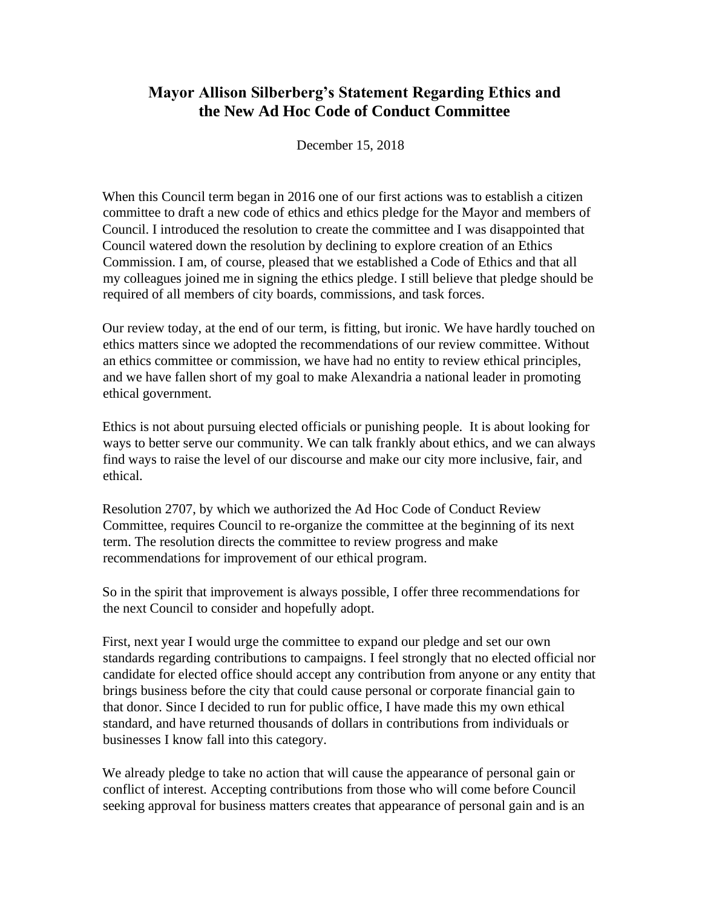## **Mayor Allison Silberberg's Statement Regarding Ethics and the New Ad Hoc Code of Conduct Committee**

December 15, 2018

When this Council term began in 2016 one of our first actions was to establish a citizen committee to draft a new code of ethics and ethics pledge for the Mayor and members of Council. I introduced the resolution to create the committee and I was disappointed that Council watered down the resolution by declining to explore creation of an Ethics Commission. I am, of course, pleased that we established a Code of Ethics and that all my colleagues joined me in signing the ethics pledge. I still believe that pledge should be required of all members of city boards, commissions, and task forces.

Our review today, at the end of our term, is fitting, but ironic. We have hardly touched on ethics matters since we adopted the recommendations of our review committee. Without an ethics committee or commission, we have had no entity to review ethical principles, and we have fallen short of my goal to make Alexandria a national leader in promoting ethical government.

Ethics is not about pursuing elected officials or punishing people. It is about looking for ways to better serve our community. We can talk frankly about ethics, and we can always find ways to raise the level of our discourse and make our city more inclusive, fair, and ethical.

Resolution 2707, by which we authorized the Ad Hoc Code of Conduct Review Committee, requires Council to re-organize the committee at the beginning of its next term. The resolution directs the committee to review progress and make recommendations for improvement of our ethical program.

So in the spirit that improvement is always possible, I offer three recommendations for the next Council to consider and hopefully adopt.

First, next year I would urge the committee to expand our pledge and set our own standards regarding contributions to campaigns. I feel strongly that no elected official nor candidate for elected office should accept any contribution from anyone or any entity that brings business before the city that could cause personal or corporate financial gain to that donor. Since I decided to run for public office, I have made this my own ethical standard, and have returned thousands of dollars in contributions from individuals or businesses I know fall into this category.

We already pledge to take no action that will cause the appearance of personal gain or conflict of interest. Accepting contributions from those who will come before Council seeking approval for business matters creates that appearance of personal gain and is an